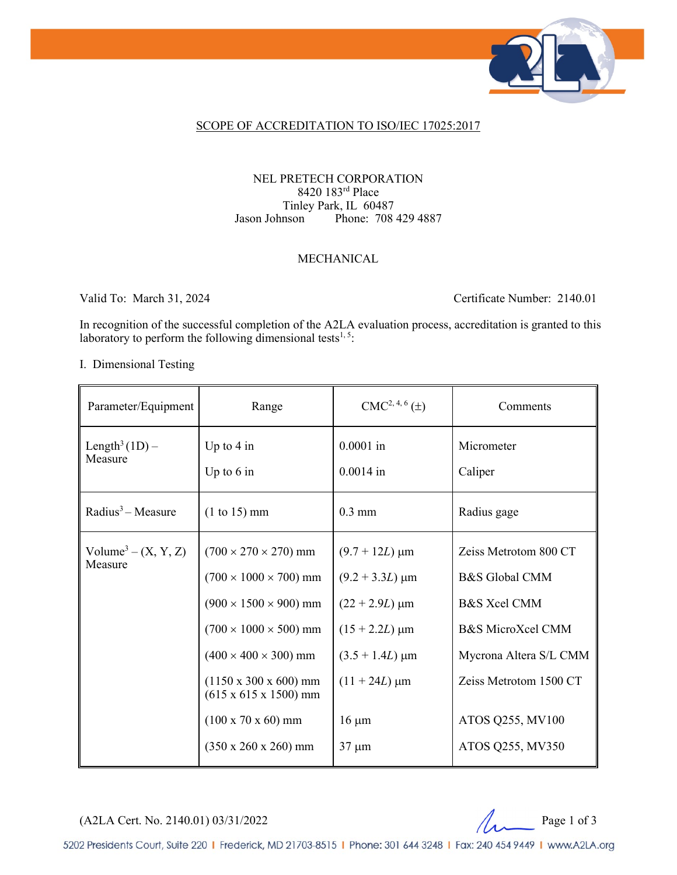

#### SCOPE OF ACCREDITATION TO ISO/IEC 17025:2017

#### NEL PRETECH CORPORATION 8420 183rd Place Tinley Park, IL 60487<br>Jason Johnson Phone: 708 Phone: 708 429 4887

#### MECHANICAL

Valid To: March 31, 2024 Certificate Number: 2140.01

In recognition of the successful completion of the A2LA evaluation process, accreditation is granted to this laboratory to perform the following dimensional tests<sup>1,5</sup>:

#### I. Dimensional Testing

| Parameter/Equipment                          | Range                                                                                                                                                                                                                                                                                                                               | $CMC2, 4, 6(\pm)$                                                                                                                                                     | Comments                                                                                                                                                                                       |
|----------------------------------------------|-------------------------------------------------------------------------------------------------------------------------------------------------------------------------------------------------------------------------------------------------------------------------------------------------------------------------------------|-----------------------------------------------------------------------------------------------------------------------------------------------------------------------|------------------------------------------------------------------------------------------------------------------------------------------------------------------------------------------------|
| Length <sup>3</sup> $(1D)$ –<br>Measure      | Up to $4$ in<br>Up to $6$ in                                                                                                                                                                                                                                                                                                        | $0.0001$ in<br>$0.0014$ in                                                                                                                                            | Micrometer<br>Caliper                                                                                                                                                                          |
| Radius <sup>3</sup> – Measure                | $(1 \text{ to } 15) \text{ mm}$                                                                                                                                                                                                                                                                                                     | $0.3$ mm                                                                                                                                                              | Radius gage                                                                                                                                                                                    |
| Volume <sup>3</sup> – $(X, Y, Z)$<br>Measure | $(700 \times 270 \times 270)$ mm<br>$(700 \times 1000 \times 700)$ mm<br>$(900 \times 1500 \times 900)$ mm<br>$(700 \times 1000 \times 500)$ mm<br>$(400 \times 400 \times 300)$ mm<br>$(1150 \times 300 \times 600)$ mm<br>$(615 \times 615 \times 1500)$ mm<br>$(100 \times 70 \times 60)$ mm<br>$(350 \times 260 \times 260)$ mm | $(9.7 + 12L) \mu m$<br>$(9.2 + 3.3L) \mu m$<br>$(22 + 2.9L) \mu m$<br>$(15 + 2.2L) \,\mu m$<br>$(3.5 + 1.4L) \mu m$<br>$(11 + 24L) \mu m$<br>$16 \mu m$<br>$37 \mu m$ | Zeiss Metrotom 800 CT<br>B&S Global CMM<br><b>B&amp;S</b> Xcel CMM<br><b>B&amp;S MicroXcel CMM</b><br>Mycrona Altera S/L CMM<br>Zeiss Metrotom 1500 CT<br>ATOS Q255, MV100<br>ATOS Q255, MV350 |

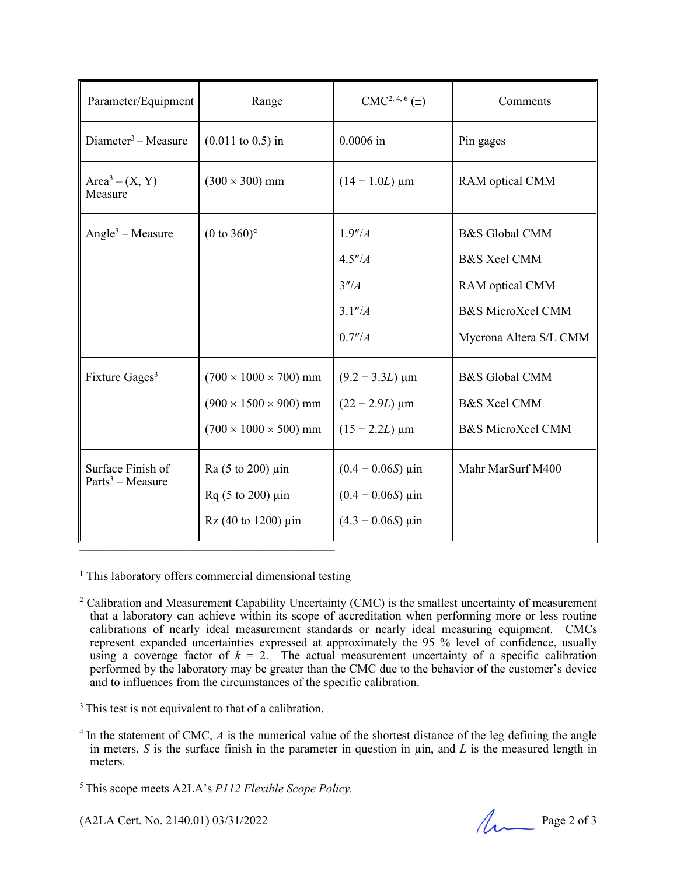| Parameter/Equipment                     | Range                                                                                                                              | $CMC2, 4, 6(\pm)$                                                                                     | Comments                                                                                                                          |
|-----------------------------------------|------------------------------------------------------------------------------------------------------------------------------------|-------------------------------------------------------------------------------------------------------|-----------------------------------------------------------------------------------------------------------------------------------|
| Diameter <sup>3</sup> – Measure         | $(0.011 \text{ to } 0.5) \text{ in}$                                                                                               | $0.0006$ in                                                                                           | Pin gages                                                                                                                         |
| $Area3 - (X, Y)$<br>Measure             | $(300 \times 300)$ mm                                                                                                              | $(14 + 1.0L) \mu m$                                                                                   | RAM optical CMM                                                                                                                   |
| Angle <sup>3</sup> – Measure            | $(0 to 360)$ °                                                                                                                     | 1.9''/A<br>4.5''/A<br>3''/4<br>3.1''/A<br>0.7''/A                                                     | <b>B&amp;S</b> Global CMM<br><b>B&amp;S</b> Xcel CMM<br>RAM optical CMM<br><b>B&amp;S MicroXcel CMM</b><br>Mycrona Altera S/L CMM |
| Fixture Gages <sup>3</sup>              | $(700 \times 1000 \times 700)$ mm<br>$(900 \times 1500 \times 900)$ mm<br>$(700 \times 1000 \times 500)$ mm                        | $(9.2 + 3.3L) \mu m$<br>$(22 + 2.9L) \mu m$<br>$(15 + 2.2L) \mu m$                                    | <b>B&amp;S</b> Global CMM<br><b>B&amp;S Xcel CMM</b><br>B&S MicroXcel CMM                                                         |
| Surface Finish of<br>$Parts3 - Measure$ | Ra $(5 \text{ to } 200)$ µin<br>$Rq(5 \text{ to } 200) \text{ } \mu \text{in}$<br>$Rz(40 \text{ to } 1200) \text{ } \mu \text{in}$ | $(0.4 + 0.06S) \,\mu \text{in}$<br>$(0.4 + 0.06S) \,\mu \text{in}$<br>$(4.3 + 0.06S) \,\mu \text{in}$ | Mahr MarSurf M400                                                                                                                 |

<sup>1</sup> This laboratory offers commercial dimensional testing

<sup>2</sup> Calibration and Measurement Capability Uncertainty (CMC) is the smallest uncertainty of measurement that a laboratory can achieve within its scope of accreditation when performing more or less routine calibrations of nearly ideal measurement standards or nearly ideal measuring equipment. CMCs represent expanded uncertainties expressed at approximately the 95 % level of confidence, usually using a coverage factor of  $k = 2$ . The actual measurement uncertainty of a specific calibration performed by the laboratory may be greater than the CMC due to the behavior of the customer's device and to influences from the circumstances of the specific calibration.

<sup>3</sup> This test is not equivalent to that of a calibration.

<sup>4</sup> In the statement of CMC, A is the numerical value of the shortest distance of the leg defining the angle in meters,  $S$  is the surface finish in the parameter in question in  $\mu$ in, and  $L$  is the measured length in meters.

5 This scope meets A2LA's *P112 Flexible Scope Policy.*

 $(A2LA$  Cert. No. 2140.01) 03/31/2022 Page 2 of 3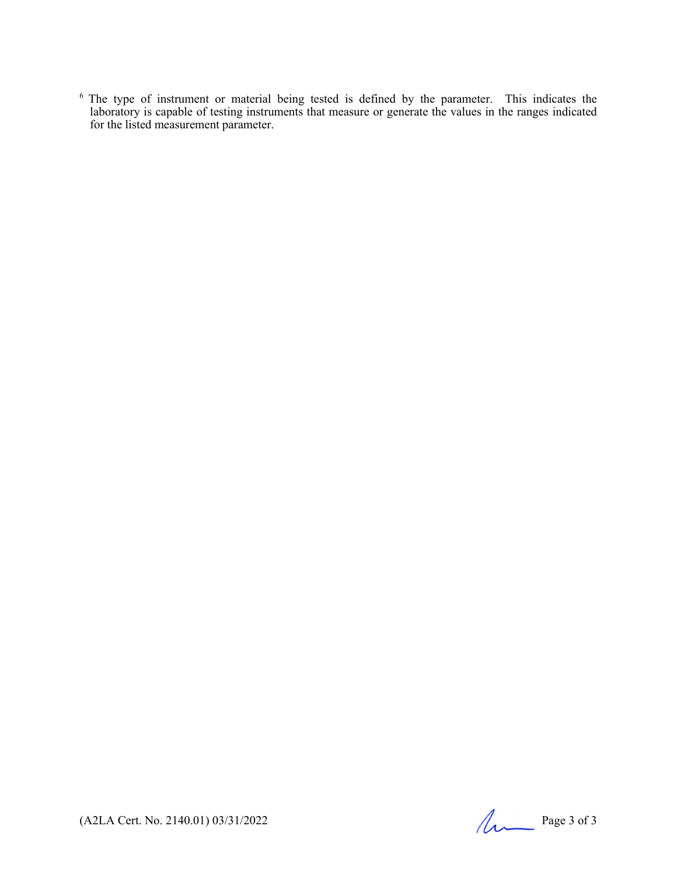<sup>6</sup> The type of instrument or material being tested is defined by the parameter. This indicates the laboratory is capable of testing instruments that measure or generate the values in the ranges indicated for the listed measurement parameter.

(A2LA Cert. No. 2140.01) 03/31/2022 Page 3 of 3